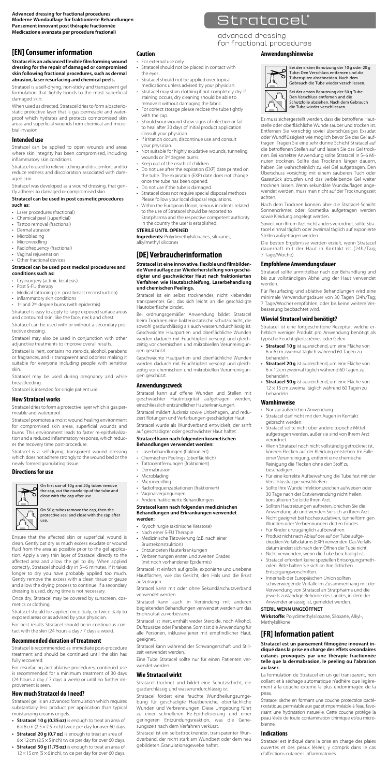**Advanced dressing for fractional procedures Moderne Wundauflage für fraktionierte Behandlungen Pansement innovant post thérapie fractionnée Medicazione avanzata per procedure frazionali**

### **[EN] Consumer information**

**Stratacel is an advanced flexible film forming wound dressing for the repair of damaged or compromised skin following fractional procedures, such as dermal abrasion, laser resurfacing and chemical peels.**

Stratacel is a self-drying, non-sticky and transparent gel formulation that lightly bonds to the most superficial damaged skin.

When used as directed, Stratacel dries to form a bacterio-static protective layer that is gas permeable and waterproof which hydrates and protects compromised skin areas and superficial wounds from chemical and micro-bial invasion.

#### **Intended use**

Stratacel can be applied to open wounds and areas where skin integrity has been compromised, including inflammatory skin conditions.

Stratacel is used to relieve itching and discomfort, and to reduce redness and discoloration associated with dam-aged skin.

Stratacel was developed as a wound dressing, that gen-tly adheres to damaged or compromised skin.

#### **Stratacel can be used in post cosmetic procedures such as:**

- Laser procedures (fractional)
- Chemical peel (superficial) • Tattoo removal (fractional)
- Dermal abrasion
- **Microblading**
- 
- Microneedling Radiofrequency (fractional)
- Vaginal rejuvenation • Other fractional devices

#### **Stratacel can be used post medical procedures and conditions such as:**

- 
- 
- Cryosurgery (actinic keratosis) Post 5-FU therapy Medical tattooing (i.e. post breast reconstruction)
- inflammatory skin conditions
- 1st and 2<sup>nd</sup> degree burns (with epidermis)

Stratacel is easy to apply to large exposed surface areas and contoured skin, like the face, neck and chest. Stratacel can be used with or without a secondary pro-

tective dressing. Stratacel may also be used in conjunction with other

adjunctive treatments to improve overall results.

Stratacel is inert, contains no steroids, alcohol, parabens or fragrances, and is transparent and odorless making it suitable for everyone including people with sensitive skin. Stratacel may be used during pregnancy and while

breastfeeding.

Stratacel is intended for single patient use.

#### **How Stratacel works**

Stratacel dries to form a protective layer which is gas permeable and waterproof.

Stratacel promotes a moist wound healing environment for compromised skin areas, superficial wounds and burns. This environment leads to faster re-epithelializa-tion and a reduced inflammatory response, which reduces the recovery time post-procedure.

Stratacel is a self-drying, transparent wound dressing which does not adhere strongly to the wound bed or the newly formed granulating tissue.

### **Directions for use**



On first use of 10g and 20g tubes remove the cap, cut the nozzle tip of the tube and close with the cap after use.

On 50 g tubes remove the cap, then the protective seal and close with the cap after use.

Ensure that the affected skin or superficial wound is clean. Gently pat dry as much excess exudate or wound fluid from the area as possible prior to the gel application. Apply a very thin layer of Stratacel directly to the affected area and allow the gel to dry. When applied correctly, Stratacel should dry in 5–6 minutes. If it takes longer to dry you have probably applied too much. Gently remove the excess with a clean tissue or gauze and allow the drying process to continue. If a secondary dressing is used, drying time is not necessary.

Once dry, Stratacel may be covered by sunscreen, cosmetics or clothing.

Stratacel should be applied once daily, or twice daily to

exposed areas or as advised by your physician. For best results Stratacel should be in continuous con-tact with the skin (24 hours a day / 7 days a week).

### **Recommended duration of treatment**

Stratacel is recommended as immediate post-procedure treatment and should be continued until the skin has fully recovered.

For resurfacing and ablative procedures, continued use is recommended for a minimum treatment of 30 days (24 hours a day / 7 days a week) or until no further improvement is seen.

### **How much Stratacel do I need?**

Stratacel gel is an advanced formulation which requires substantially less product per application than typical moisturizing creams or gels.

- **Stratacel 10g (0.35oz)** is enough to treat an area of 6×6 cm (2.5×2.5 inch) twice per day for over 60 days.
- **Stratacel 20 g (0.7 oz)** is enough to treat an area of  $6 \times 12$  cm (2.5  $\times$ 5 inch) twice per day for over 60 days.
- **Stratacel 50g (1.75oz)** is enough to treat an area of 12×15 cm (5×6 inch), twice per day for over 60 days.

### **Caution**

- For external use only. Stratacel should not be placed in contact with
- 
- the eyes. Stratacel should not be applied over topical medications unless advised by your physician. Stratacel may stain clothing if not completely dry. If
- staining occurs, dry cleaning should be able to remove it without damaging the fabric. For correct storage please reclose the tube tightly
- with the cap. Should your wound show signs of infection or fail to heal after 30 days of initial product application
- consult your physician. If irritation occurs, discontinue use and consult your physician.
- Not suitable for highly exudative wounds, tunneling
- wounds or 3rd degree burns. Keep out of the reach of children.
- Do not use after the expiration (EXP) date printed on the tube. The expiration (EXP) date does not change once the tube has been opened.
- Do not use if the tube is damaged. Stratacel does not require special disposal methods. Please follow your local disposal regulations.
- Within the European Union, serious incidents related to the use of Stratacel should be reported to Stratpharma and the respective competent authority in the country the user is established.
- **STERILE UNTIL OPENED Ingredients:** Polydimethylsiloxanes, siloxanes,

alkylmethyl silicones

### **[DE] Verbraucherinformation**

**Stratacel ist eine innovative, flexible und filmbildende Wundauflage zur Wiederherstellung von geschä-digter und geschwächter Haut nach fraktionierten Verfahren wie Hautabschleifung, Laserbehandlung und chemischen Peelings.** 

Stratacel ist ein selbst trocknendes, nicht klebendes transparentes Gel, das sich leicht an die geschädigte Hautoberfläche bindet.

Bei ordnungsgemäßer Anwendung bildet Stratacel beim Trocknen eine bakteriostatische Schutzschicht, die sowohl gasdurchlässig als auch wasserundurchlässig ist. Geschwächte Hautpartien und oberflächliche Wunden werden dadurch mit Feuchtigkeit versorgt und gleich-zeitig vor chemischen und mikrobiellen Verunreinigungen geschützt.

Geschwächte Hautpartien und oberflächliche Wunden<br>werden dadurch mit Feuchtigkeit versorgt und gleichwerden dadurch mit Feuchtigkeit versorgt und gleich-zeitig vor chemischen und mikrobiellen Verunreinigun-gen geschützt.

#### **Anwendungszweck**

Stratacel kann auf offene Wunden und Stellen mit geschwächter Hautintegrität aufgetragen werden, einschliesslich entzündlicher Hauterkrankungen.

Stratacel mildert Juckreiz sowie Unbehagen, und reduziert Rötungen und Verfärbungen geschädigter Haut. Stratacel wurde als Wundverband entwickelt, der sanft auf geschädigter oder geschwächter Haut haftet. **Stratacel kann nach folgenden kosmetischen Behandlungen verwendet werden:**

- Laserbehandlungen (fraktioniert) Chemischen Peelings (oberflächlich) Tattooentfernungen (fraktioniert)
- 
- Dermabrasion
- 
- Microblading Microneedling
- Radiofrequenzablationen (fraktioniert)
- Vaginalverjüngungen Andere fraktionierte Behandlungen

### **Stratacel kann nach folgenden medizinischen Behandlungen und Erkrankungen verwendet werden:**

- Kryochirurgie (aktinische Keratose)
- Nach einer 5-FU Therapie Medizinische Tätowierung (z.B. nach einer Brustrekonstruktion)
- 
- Entzündeten Hauterkrankungen Verbrennungen ersten und zweiten Grades (mit noch vorhandener Epidermis)

Stratacel ist einfach auf große, exponierte und unebene Hautflächen, wie das Gesicht, den Hals und die Brust aufzutragen.

Stratacel kann mit oder ohne Sekundärschutzverband verwendet werden.

Stratacel kann auch in Verbindung mit anderen begleitenden Behandlungen verwendet werden um das Endresultat zu verbessern.

Stratacel ist inert, enthält weder Steroide, noch Alkohol, Duftzusätze oder Parabene. Somit ist die Anwendung für alle Personen, inklusive jener mit empfindlicher Haut, geeignet.

Stratacel kann während der Schwangerschaft und Stillzeit verwendet werden.

Eine Tube Stratacel sollte nur für einen Patienten verwendet werden.

#### **Wie Stratacel wirkt**

Stratacel trocknet und bildet eine Schutzschicht, die gasdurchlässig und wasserundurchlässig ist.

Stratacel fördert eine feuchte Wundheilungsumge-bung für geschädigte Hautbereiche, oberflächliche Wunden und Verbrennungen. Diese Umgebung führt zu einer schnelleren Re-Epithelisierung und einer geringeren Entzündungsreaktion, was die Gene-sungszeit nach dem Verfahren verkürzt.

Stratacel ist ein selbsttrocknender, transparenter Wun-dverband, der nicht stark am Wundbett oder dem neu gebildeten Granulationsgewebe haftet.

# Stratacel®

advanced dressing for fractional procedures

### **Anwendungshinweise**



achten.

Bei der ersten Benutzung der 10 g oder 20 g Tube: Den Verschluss entfernen und die Tubenspitze abschneiden. Nach dem Gebrauch die Tube wieder verschliessen.

Bei der ersten Benutzung der 50 g Tube: Den Verschluss entfernen und die Schutzfolie abziehen. Nach dem Gebrauch die Tube wieder verschliessen.

Es muss sichergestellt werden, dass die betroffene Hautstelle oder oberflächliche Wunde sauber und trocken ist. Entfernen Sie vorsichtig soviel überschüssiges Exsudat oder Wundflüssigkeit wie möglich bevor Sie das Gel auftragen. Tragen Sie eine sehr dünne Schicht Stratacel auf<br>die betroffenen Stellen auf und lassen Sie das Gel trockdie betroffenen Stellen auf und lassen Sie das Gel trock-nen. Bei korrekter Anwendung sollte Stratacel in 5–6 Mi-nuten trocknen. Sollte das Trocknen länger dauern, haben Sie wahrscheinlich zu viel Gel aufgetragen. Den Überschuss vorsichtig mit einem sauberen Tuch oder Gazestück abtupfen und das verbleibende Gel weiter trocknen lassen. Wenn sekundäre Wundauflagen angewendet werden, muss man nicht auf der Trocknungszeit

Nach dem Trocknen können über die Stratacel-Schicht Sonnencrèmes oder Kosmetika aufgetragen werden

Soweit von Ihrem Arzt nicht anders verordnet, sollte Stratacel einmal täglich oder zweimal täglich auf exponierte

Die besten Ergebnisse werden erzielt, wenn Stratacel dauerhaft mit der Haut in Kontakt ist (24h /Tag;

Stratacel sollte unmittelbar nach der Behandlung und bis zur vollständigen Abheilung der Haut verwendet

Für Resurfacing und ablative Behandlungen wird eine minimale Verwendungsdauer von 30 Tagen (24h/Tag; 7 Tage/Woche) empfohlen, oder bis keine weitere Ver-

Stratacel ist eine fortgeschrittene Rezeptur, welche erheblich weniger Produkt pro Anwendung benötigt als typische Feuchtigkeitscrèmes oder Gelen. **• Stratacel 10g** ist ausreichend, um eine Fläche von 6 × 6 cm zweimal täglich während 60 Tagen zu behandeln. **• Stratacel 20g** ist ausreichend, um eine Fläche von 6 × 12 cm zweimal täglich während 60 Tagen zu behandeln. **• Stratacel 50g** ist ausreichend, um eine Fläche von 12 × 15 cm zweimal täglich während 60 Tagen zu

sowie Kleidung angelegt werden.

**Empfohlene Anwendungsdauer**

Stellen aufgetragen werden.

besserung beobachtet wird. **Wieviel Stratacel wird benötigt?**

7 Tage/Woche).

behandeln. **Warnhinweise**

• Nur zur äußerlichen Anwendung

• Stratacel darf nicht mit den Augen in Kontakt gebracht werden. • Stratacel sollte nicht über andere topische Mittel aufgetragen werden, außer sie sind von Ihrem Arzt verordnet. • Wenn Stratacel noch nicht vollständig getrocknet ist, können Flecken auf der Kleidung entstehen. Im Falle einer Verunreinigung, entfernt eine chemische Reinigung die Flecken ohne den Stoff zu

beschädigen. • Für eine korrekte Aufbewahrung die Tube fest mit der Verschlusskappe verschließen. • Sollte Ihre Wunde Infektionszeichen aufweisen oder 30 Tage nach der Erstverwendung nicht heilen, konsultieren Sie bitte Ihren Arzt. • Sollten Hautreizungen auftreten, brechen Sie die Anwendung ab und wenden Sie sich an Ihren Arzt. • Nicht geeignet bei hochexsudativen, tunnelförmigen

Wunden oder Verbrennungen dritten Grades.<br>• Für Kinder unzugänglich aufbewahren.<br>• Produkt nicht nach Ablauf des auf der Tube aufge-<br>druckten Verfallsdatums (EXP) verwenden. Das Verfalls-<br>datum ändert sich nach dem Öffnen

schwerwiegende Vorfälle im Zusammenhang mit der Verwendung von Stratacel an Stratpharma und die jeweils zuständige Behörde des Landes, in dem der .<br>Anwender ansässig ist, gemeldet werden.

oden. Bitte halten Sie sich an Ihre örtlichen Entsorgungsvorschriften. • Innerhalb der Europäischen Union sollten

**Wirkstoffe:** Polydimethylsiloxane, Siloxane, Alkyl-,

Stratacel est un pansement filmogène innovant in-<br>diqué dans la prise en charge des effets secondaires<br>cutanés provoqués par une thérapie fractionnée<br>telle que la dermabrasion, le peeling ou l'abrasion

La formulation de Stratacel en un gel transparent, non collant et à séchage automatique n'adhère que légèrement à la couche externe la plus endommagée de la

Stratacel sèche en formant une couche protectrice bactériostatique, perméable aux gaz et imperméable à l'eau, favo-risant une hydratation naturelle. Cette couche protège la peau lésée de toute contamination chimique et/ou micro-

Stratacel est indiqué dans la prise en charge des plaies ouvertes et des peaux lésées, y compris dans le cas d'affections cutanées inflammatoires.

**STERIL WENN UNGEÖFFNET**

**[FR] Information patient**

Methylsilikone

**au laser.**

peau.

bienne. **Indications** 

werden.